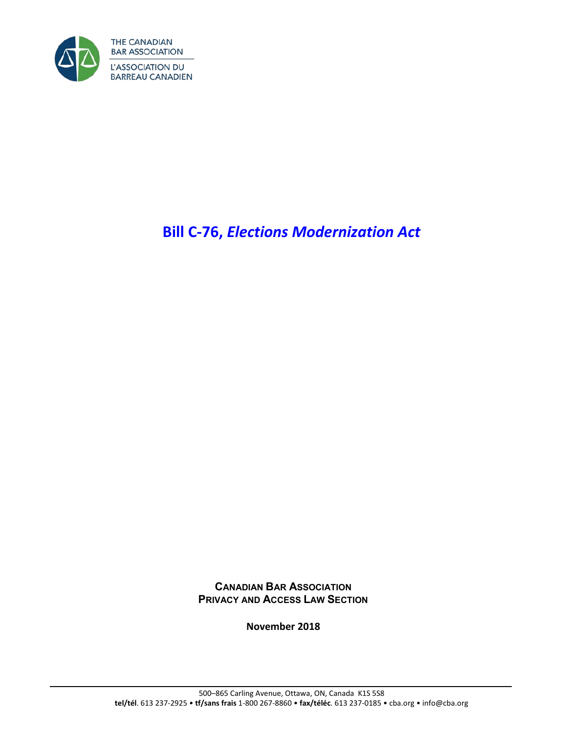

# **Bill C-76,** *Elections Modernization Act*

**CANADIAN BAR ASSOCIATION PRIVACY AND ACCESS LAW SECTION**

**November 2018**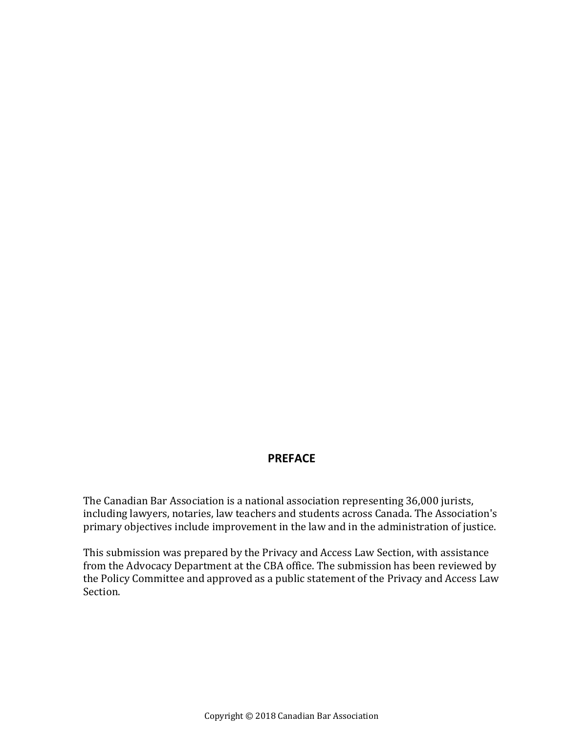#### **PREFACE**

The Canadian Bar Association is a national association representing 36,000 jurists, including lawyers, notaries, law teachers and students across Canada. The Association's primary objectives include improvement in the law and in the administration of justice.

This submission was prepared by the Privacy and Access Law Section, with assistance from the Advocacy Department at the CBA office. The submission has been reviewed by the Policy Committee and approved as a public statement of the Privacy and Access Law Section.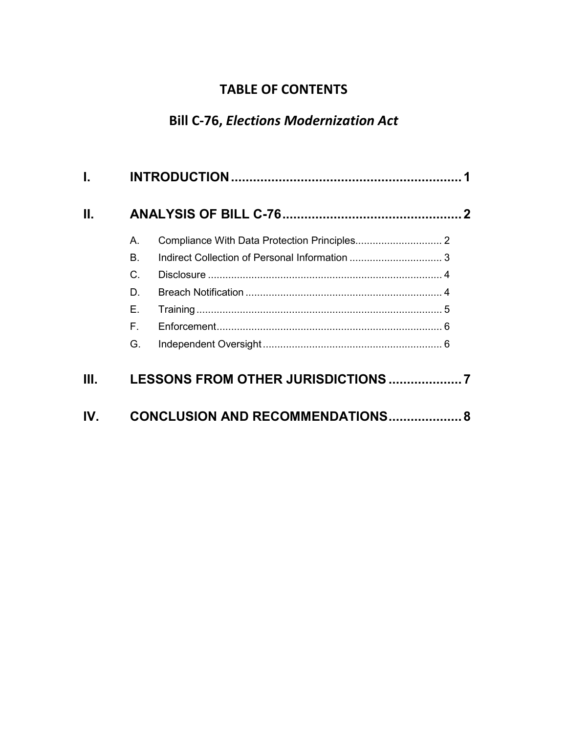# **TABLE OF CONTENTS**

# **Bill C-76,** *Elections Modernization Act*

| Ш. |                                     |  |  |
|----|-------------------------------------|--|--|
|    | А.                                  |  |  |
|    | Β.                                  |  |  |
|    | C.                                  |  |  |
|    | D.                                  |  |  |
|    | Е.                                  |  |  |
|    | F.                                  |  |  |
|    | G.                                  |  |  |
| Ш. |                                     |  |  |
|    | CONCLUSION AND RECOMMENDATIONS<br>8 |  |  |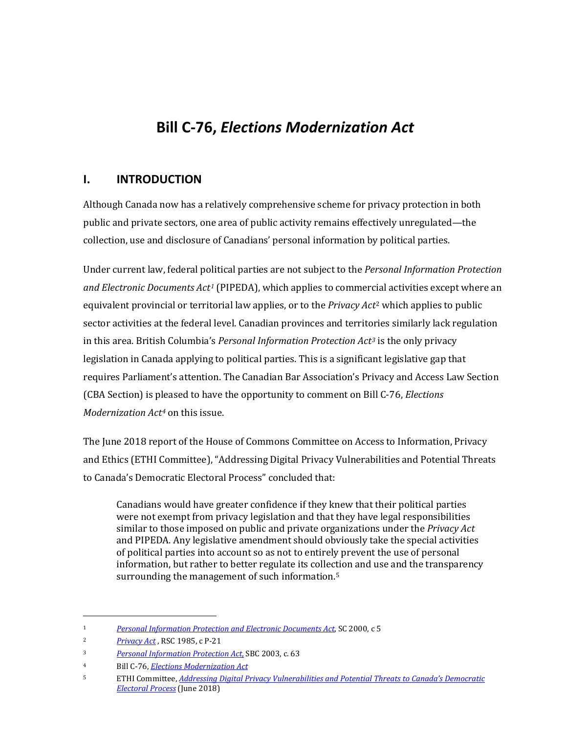# **Bill C-76,** *Elections Modernization Act*

#### <span id="page-4-0"></span>**I. INTRODUCTION**

Although Canada now has a relatively comprehensive scheme for privacy protection in both public and private sectors, one area of public activity remains effectively unregulated—the collection, use and disclosure of Canadians' personal information by political parties.

Under current law, federal political parties are not subject to the *Personal Information Protection and Electronic Documents Act[1](#page-4-1)* (PIPEDA), which applies to commer[cia](#page-4-2)l activities except where an equivalent provincial or territorial law applies, or to the *Privacy Act*<sup>2</sup> which applies to public sector activities at the federal level. Canadian provinces and territories similarly lack regulation in this area. British Columbia's *Personal Information Protection Act[3](#page-4-3)* is the only privacy legislation in Canada applying to political parties. This is a significant legislative gap that requires Parliament's attention. The Canadian Bar Association's Privacy and Access Law Section (CBA Section) is pleased to have the opportunity to comment on Bill C-76, *Elections Modernization Act[4](#page-4-4)* on this issue.

The June 2018 report of the House of Commons Committee on Access to Information, Privacy and Ethics (ETHI Committee), "Addressing Digital Privacy Vulnerabilities and Potential Threats to Canada's Democratic Electoral Process" concluded that:

Canadians would have greater confidence if they knew that their political parties were not exempt from privacy legislation and that they have legal responsibilities similar to those imposed on public and private organizations under the *Privacy Act*  and PIPEDA. Any legislative amendment should obviously take the special activities of political parties into account so as not to entirely prevent the use of personal information, but rather to better regulate its collection and use and the transparency surrounding the management of such information.<sup>[5](#page-4-5)</sup>

I

<span id="page-4-1"></span><sup>1</sup> *[Personal Information Protection and Electronic Documents Act](https://www.canlii.org/en/ca/laws/stat/sc-2000-c-5/latest/sc-2000-c-5.html?resultIndex=1)*, SC 2000, c 5

<span id="page-4-2"></span><sup>2</sup> *[Privacy Act](https://www.canlii.org/en/ca/laws/stat/rsc-1985-c-p-21/latest/rsc-1985-c-p-21.html?autocompleteStr=Privacy%20Act&autocompletePos=1)* , RSC 1985, c P-21

<span id="page-4-3"></span><sup>3</sup> *[Personal Information Protection Act](https://www.canlii.org/en/bc/laws/stat/sbc-2003-c-63/latest/sbc-2003-c-63.html?resultIndex=1)*, SBC 2003, c. 63

<span id="page-4-4"></span><sup>4</sup> Bill C-76, *[Elections Modernization Act](http://www.parl.ca/DocumentViewer/en/42-1/bill/C-76/third-reading)*

<span id="page-4-5"></span><sup>5</sup> ETHI Committee, *[Addressing Digital Privacy Vulnerabilities and Potential Threats to Canada's Democratic](https://www.ourcommons.ca/DocumentViewer/en/42-1/ETHI/report-16/)  [Electoral Process](https://www.ourcommons.ca/DocumentViewer/en/42-1/ETHI/report-16/)* (June 2018)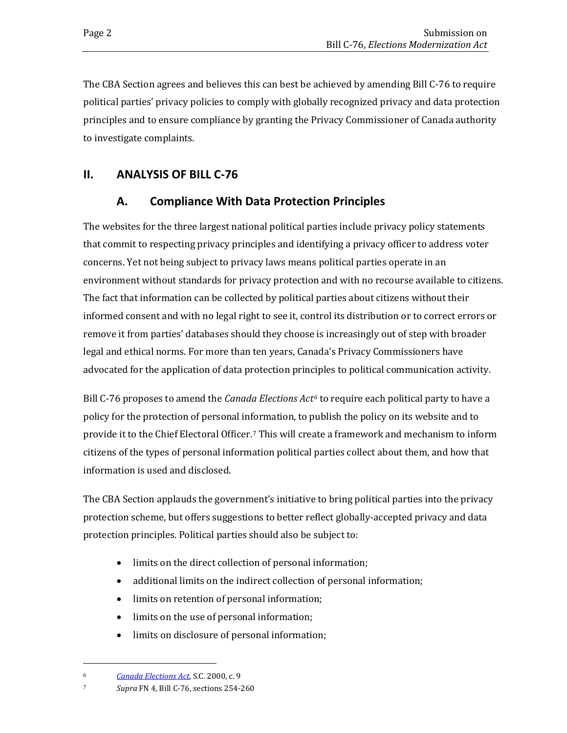The CBA Section agrees and believes this can best be achieved by amending Bill C-76 to require political parties' privacy policies to comply with globally recognized privacy and data protection principles and to ensure compliance by granting the Privacy Commissioner of Canada authority to investigate complaints.

# <span id="page-5-1"></span><span id="page-5-0"></span>**II. ANALYSIS OF BILL C-76**

# **A. Compliance With Data Protection Principles**

The websites for the three largest national political parties include privacy policy statements that commit to respecting privacy principles and identifying a privacy officer to address voter concerns. Yet not being subject to privacy laws means political parties operate in an environment without standards for privacy protection and with no recourse available to citizens. The fact that information can be collected by political parties about citizens without their informed consent and with no legal right to see it, control its distribution or to correct errors or remove it from parties' databases should they choose is increasingly out of step with broader legal and ethical norms. For more than ten years, Canada's Privacy Commissioners have advocated for the application of data protection principles to political communication activity.

Bill C-76 proposes to amend the *Canada Elections Act[6](#page-5-2)* to require each political party to have a policy for the protection of personal information, to publish the policy on its website and to provide it to the Chief Electoral Officer.[7](#page-5-3) This will create a framework and mechanism to inform citizens of the types of personal information political parties collect about them, and how that information is used and disclosed.

The CBA Section applauds the government's initiative to bring political parties into the privacy protection scheme, but offers suggestions to better reflect globally-accepted privacy and data protection principles. Political parties should also be subject to:

- limits on the direct collection of personal information;
- additional limits on the indirect collection of personal information;
- limits on retention of personal information;
- limits on the use of personal information;
- limits on disclosure of personal information;

<span id="page-5-2"></span>i<br>I 6 *[Canada Elections Act](https://www.canlii.org/en/ca/laws/stat/sc-2000-c-9/latest/sc-2000-c-9.html?resultIndex=1)*, S.C. 2000, c. 9

<span id="page-5-3"></span><sup>7</sup> *Supra* FN 4, Bill C-76, sections 254-260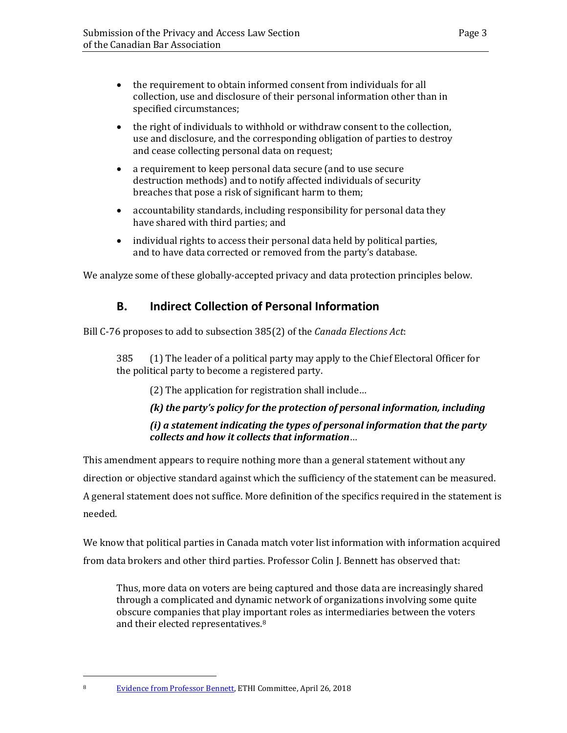- the requirement to obtain informed consent from individuals for all collection, use and disclosure of their personal information other than in specified circumstances;
- the right of individuals to withhold or withdraw consent to the collection, use and disclosure, and the corresponding obligation of parties to destroy and cease collecting personal data on request;
- a requirement to keep personal data secure (and to use secure destruction methods) and to notify affected individuals of security breaches that pose a risk of significant harm to them;
- accountability standards, including responsibility for personal data they have shared with third parties; and
- individual rights to access their personal data held by political parties, and to have data corrected or removed from the party's database.

<span id="page-6-0"></span>We analyze some of these globally-accepted privacy and data protection principles below.

# **B. Indirect Collection of Personal Information**

Bill C-76 proposes to add to subsection 385(2) of the *Canada Elections Act*:

385 (1) The leader of a political party may apply to the Chief Electoral Officer for the political party to become a registered party.

(2) The application for registration shall include…

#### *(k) the party's policy for the protection of personal information, including (i) a statement indicating the types of personal information that the party collects and how it collects that information*…

This amendment appears to require nothing more than a general statement without any direction or objective standard against which the sufficiency of the statement can be measured. A general statement does not suffice. More definition of the specifics required in the statement is needed.

We know that political parties in Canada match voter list information with information acquired from data brokers and other third parties. Professor Colin J. Bennett has observed that:

Thus, more data on voters are being captured and those data are increasingly shared through a complicated and dynamic network of organizations involving some quite obscure companies that play important roles as intermediaries between the voters and their elected representatives.[8](#page-6-1) 

<span id="page-6-1"></span>i<br>I 8 [Evidence from Professor Bennett,](http://www.ourcommons.ca/DocumentViewer/en/42-1/ETHI/meeting-102/evidence) ETHI Committee, April 26, 2018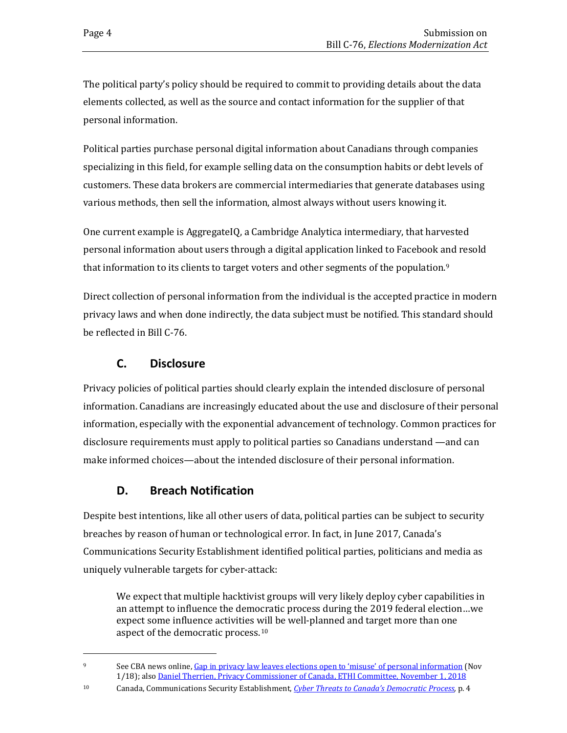The political party's policy should be required to commit to providing details about the data elements collected, as well as the source and contact information for the supplier of that personal information.

Political parties purchase personal digital information about Canadians through companies specializing in this field, for example selling data on the consumption habits or debt levels of customers. These data brokers are commercial intermediaries that generate databases using various methods, then sell the information, almost always without users knowing it.

One current example is AggregateIQ, a Cambridge Analytica intermediary, that harvested personal information about users through a digital application linked to Facebook and resold that information to its clients to target voters and other segments of the population.<sup>[9](#page-7-2)</sup>

Direct collection of personal information from the individual is the accepted practice in modern privacy laws and when done indirectly, the data subject must be notified. This standard should be reflected in Bill C-76.

# **C. Disclosure**

<span id="page-7-0"></span>Privacy policies of political parties should clearly explain the intended disclosure of personal information. Canadians are increasingly educated about the use and disclosure of their personal information, especially with the exponential advancement of technology. Common practices for disclosure requirements must apply to political parties so Canadians understand —and can make informed choices—about the intended disclosure of their personal information.

# **D. Breach Notification**

<span id="page-7-1"></span>Despite best intentions, like all other users of data, political parties can be subject to security breaches by reason of human or technological error. In fact, in June 2017, Canada's Communications Security Establishment identified political parties, politicians and media as uniquely vulnerable targets for cyber-attack:

We expect that multiple hacktivist groups will very likely deploy cyber capabilities in an attempt to influence the democratic process during the 2019 federal election…we expect some influence activities [wil](#page-7-3)l be well-planned and target more than one aspect of the democratic process.10

<span id="page-7-2"></span>i<br>I 9 See CBA news online[, Gap in privacy law leaves elections open to 'misuse' of](https://ca.news.yahoo.com/gap-privacy-law-leaves-elections-194040117.html) personal information (Nov 1/18); also [Daniel Therrien, Privacy Commissioner of Canada, ETHI Committee, November 1, 2018](http://www.ourcommons.ca/DocumentViewer/en/42-1/ETHI/meeting-124/minutes)

<span id="page-7-3"></span><sup>10</sup> Canada, Communications Security Establishment, *[Cyber Threats to Canada's Democratic Process,](https://www.cse-cst.gc.ca/sites/default/files/cse-cyber-threat-assessment-e.pdf)* p. 4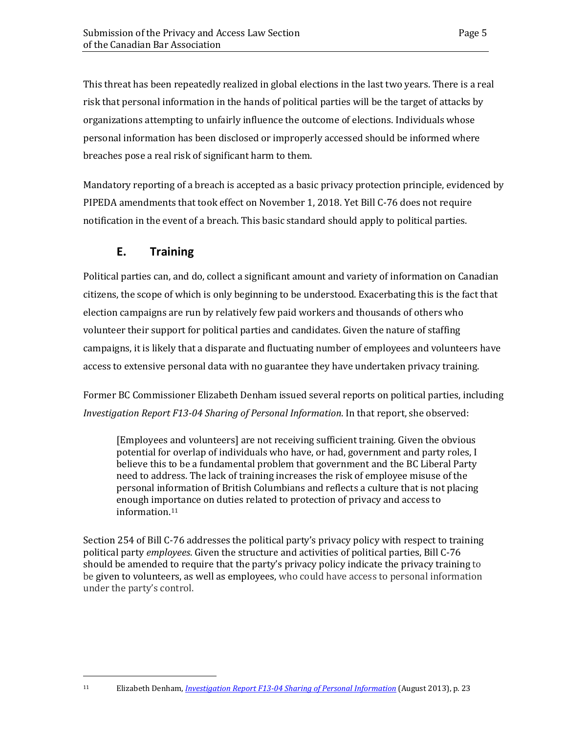This threat has been repeatedly realized in global elections in the last two years. There is a real risk that personal information in the hands of political parties will be the target of attacks by organizations attempting to unfairly influence the outcome of elections. Individuals whose personal information has been disclosed or improperly accessed should be informed where breaches pose a real risk of significant harm to them.

Mandatory reporting of a breach is accepted as a basic privacy protection principle, evidenced by PIPEDA amendments that took effect on November 1, 2018. Yet Bill C-76 does not require notification in the event of a breach. This basic standard should apply to political parties.

#### **E. Training**

<span id="page-8-0"></span>Political parties can, and do, collect a significant amount and variety of information on Canadian citizens, the scope of which is only beginning to be understood. Exacerbating this is the fact that election campaigns are run by relatively few paid workers and thousands of others who volunteer their support for political parties and candidates. Given the nature of staffing campaigns, it is likely that a disparate and fluctuating number of employees and volunteers have access to extensive personal data with no guarantee they have undertaken privacy training.

Former BC Commissioner Elizabeth Denham issued several reports on political parties, including *Investigation Report F13-04 Sharing of Personal Information*. In that report, she observed:

[Employees and volunteers] are not receiving sufficient training. Given the obvious potential for overlap of individuals who have, or had, government and party roles, I believe this to be a fundamental problem that government and the BC Liberal Party need to address. The lack of training increases the risk of employee misuse of the personal information of British Columbians and reflects a culture that is not placing enough imp[ort](#page-8-1)ance on duties related to protection of privacy and access to information.11

<span id="page-8-1"></span>Section 254 of Bill C-76 addresses the political party's privacy policy with respect to training political party *employees*. Given the structure and activities of political parties, Bill C-76 should be amended to require that the party's privacy policy indicate the privacy training to be given to volunteers, as well as employees, who could have access to personal information under the party's control.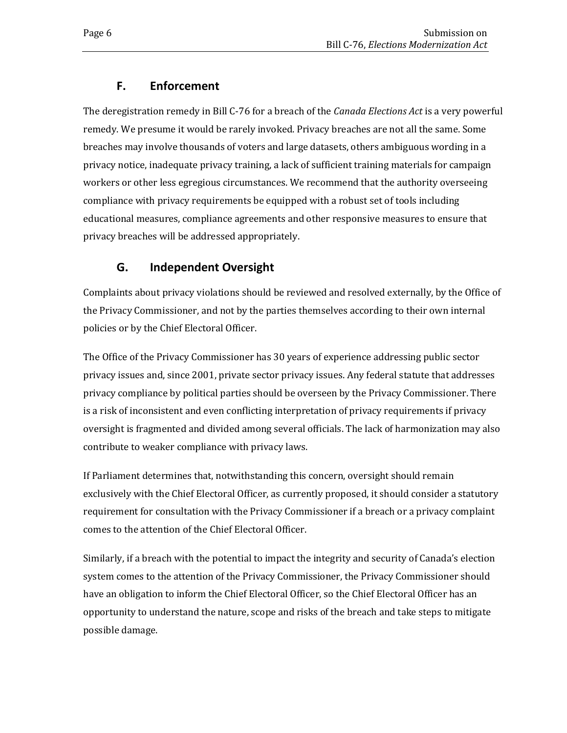# **F. Enforcement**

<span id="page-9-0"></span>The deregistration remedy in Bill C-76 for a breach of the *Canada Elections Act* is a very powerful remedy. We presume it would be rarely invoked. Privacy breaches are not all the same. Some breaches may involve thousands of voters and large datasets, others ambiguous wording in a privacy notice, inadequate privacy training, a lack of sufficient training materials for campaign workers or other less egregious circumstances. We recommend that the authority overseeing compliance with privacy requirements be equipped with a robust set of tools including educational measures, compliance agreements and other responsive measures to ensure that privacy breaches will be addressed appropriately.

# **G. Independent Oversight**

<span id="page-9-1"></span>Complaints about privacy violations should be reviewed and resolved externally, by the Office of the Privacy Commissioner, and not by the parties themselves according to their own internal policies or by the Chief Electoral Officer.

The Office of the Privacy Commissioner has 30 years of experience addressing public sector privacy issues and, since 2001, private sector privacy issues. Any federal statute that addresses privacy compliance by political parties should be overseen by the Privacy Commissioner. There is a risk of inconsistent and even conflicting interpretation of privacy requirements if privacy oversight is fragmented and divided among several officials. The lack of harmonization may also contribute to weaker compliance with privacy laws.

If Parliament determines that, notwithstanding this concern, oversight should remain exclusively with the Chief Electoral Officer, as currently proposed, it should consider a statutory requirement for consultation with the Privacy Commissioner if a breach or a privacy complaint comes to the attention of the Chief Electoral Officer.

Similarly, if a breach with the potential to impact the integrity and security of Canada's election system comes to the attention of the Privacy Commissioner, the Privacy Commissioner should have an obligation to inform the Chief Electoral Officer, so the Chief Electoral Officer has an opportunity to understand the nature, scope and risks of the breach and take steps to mitigate possible damage.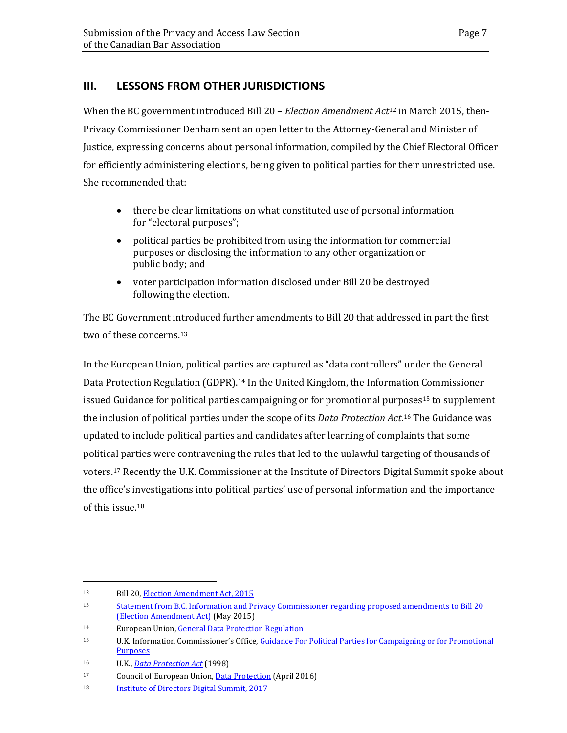#### <span id="page-10-0"></span>**III. LESSONS FROM OTHER JURISDICTIONS**

When the BC government introduced Bill 20 – *Election Amendment Act*[12](#page-10-1) in March 2015, then-Privacy Commissioner Denham sent an open letter to the Attorney-General and Minister of Justice, expressing concerns about personal information, compiled by the Chief Electoral Officer for efficiently administering elections, being given to political parties for their unrestricted use. She recommended that:

- there be clear limitations on what constituted use of personal information for "electoral purposes";
- political parties be prohibited from using the information for commercial purposes or disclosing the information to any other organization or public body; and
- voter participation information disclosed under Bill 20 be destroyed following the election.

The BC Government introduced further amendments to Bill 20 that addressed in part the first two of these concerns.<sup>[13](#page-10-2)</sup>

In the European Union, political parties are captured as "data controllers" under the General Data Protection Regulation (GDPR).<sup>[14](#page-10-3)</sup> In the United Kingdom, the Information Commissioner issued Guidance for political parties campaigning or for promotional purposes<sup>[15](#page-10-4)</sup> to supplement the inclusion of political parties under the scope of its *Data Protection Act*.[16](#page-10-5) The Guidance was updated to include political parties and candidates after learning of complaints that some political parties were contravening the rules that led to the unlawful targeting of thousands of voters.[17](#page-10-6) Recently the U.K. Commissioner at the Institute of Directors Digital Summit spoke about the office's investigations into political parties' use of personal information and the importance of this issue.[18](#page-10-7)

i<br>I 12 Bill 20[, Election Amendment Act, 2015](http://www.bclaws.ca/civix/document/id/lc/billsprevious/4th40th:gov20-1) 

<span id="page-10-2"></span><span id="page-10-1"></span><sup>13</sup> [Statement from B.C. Information and Privacy Commissioner regarding proposed amendments to Bill 20](https://www.oipc.bc.ca/news-releases/1792)  [\(Election Amendment Act\)](https://www.oipc.bc.ca/news-releases/1792) (May 2015)

<span id="page-10-3"></span><sup>14</sup> European Union[, General Data Protection Regulation](https://eur-lex.europa.eu/legal-content/EN/TXT/PDF/?uri=CELEX:32016R0679) 

<span id="page-10-4"></span><sup>15</sup> U.K. Information Commissioner's Office, [Guidance For Political Parties for Campaigning or for](https://www.tameside.gov.uk/elections/guidancepoliticalparties.pdf) Promotional **[Purposes](https://www.tameside.gov.uk/elections/guidancepoliticalparties.pdf)** 

<span id="page-10-5"></span><sup>16</sup> U.K., *[Data Protection Act](https://www.legislation.gov.uk/ukpga/1998/29/contents)* (1998)

<span id="page-10-6"></span><sup>17</sup> Council of European Union[, Data Protection](http://data.consilium.europa.eu/doc/document/ST-5419-2016-INIT/en/pdf) (April 2016)

<span id="page-10-7"></span><sup>18</sup> [Institute of Directors Digital Summit, 2017](https://www.iod.com/events-community/events/event-details/eventdateid/4570)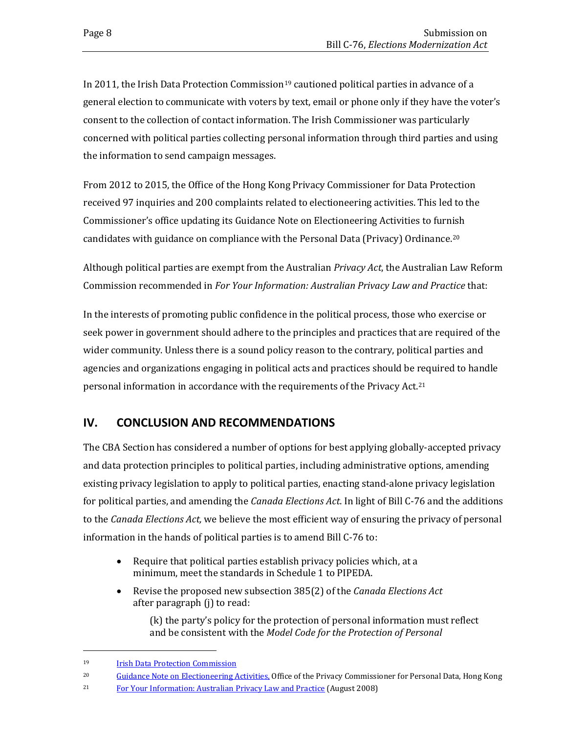In 2011, the Irish Data Protection Commission<sup>[19](#page-11-1)</sup> cautioned political parties in advance of a general election to communicate with voters by text, email or phone only if they have the voter's consent to the collection of contact information. The Irish Commissioner was particularly concerned with political parties collecting personal information through third parties and using the information to send campaign messages.

From 2012 to 2015, the Office of the Hong Kong Privacy Commissioner for Data Protection received 97 inquiries and 200 complaints related to electioneering activities. This led to the Commissioner's office updating its Guidance Note on Electioneering Activities to furnish candidates with guidance on compliance with the Personal Data (Privacy) Ordinance.[20](#page-11-2)

Although political parties are exempt from the Australian *Privacy Act*, the Australian Law Reform Commission recommended in *For Your Information: Australian Privacy Law and Practice* that:

In the interests of promoting public confidence in the political process, those who exercise or seek power in government should adhere to the principles and practices that are required of the wider community. Unless there is a sound policy reason to the contrary, political parties and agencies and organizations engaging in political acts and practices should be required to handle personal information in accordance with the requirements of the Privacy Act.[21](#page-11-3)

# <span id="page-11-0"></span>**IV. CONCLUSION AND RECOMMENDATIONS**

The CBA Section has considered a number of options for best applying globally-accepted privacy and data protection principles to political parties, including administrative options, amending existing privacy legislation to apply to political parties, enacting stand-alone privacy legislation for political parties, and amending the *Canada Elections Act*. In light of Bill C-76 and the additions to the *Canada Elections Act,* we believe the most efficient way of ensuring the privacy of personal information in the hands of political parties is to amend Bill C-76 to:

- Require that political parties establish privacy policies which, at a minimum, meet the standards in Schedule 1 to PIPEDA.
- Revise the proposed new subsection 385(2) of the *Canada Elections Act* after paragraph (j) to read:

(k) the party's policy for the protection of personal information must reflect and be consistent with the *Model Code for the Protection of Personal* 

i<br>I

<span id="page-11-1"></span><sup>19</sup> [Irish Data Protection Commission](https://www.dataprotection.ie/docs/Home/4.htm)

<span id="page-11-2"></span><sup>&</sup>lt;sup>20</sup> [Guidance Note on Electioneering Activities,](https://www.pcpd.org.hk/english/resources_centre/publications/guidance/files/electioneering_e.pdf) Office of the Privacy Commissioner for Personal Data, Hong Kong

<span id="page-11-3"></span><sup>&</sup>lt;sup>21</sup> [For Your Information: Australian Privacy Law and Practice](https://www.alrc.gov.au/publications/report-108) (August 2008)